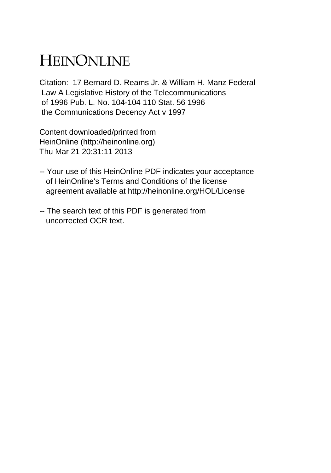## HEINONLINE

Citation: 17 Bernard D. Reams Jr. & William H. Manz Federal Law A Legislative History of the Telecommunications of 1996 Pub. L. No. 104-104 110 Stat. 56 1996 the Communications Decency Act v 1997

Content downloaded/printed from HeinOnline (http://heinonline.org) Thu Mar 21 20:31:11 2013

- -- Your use of this HeinOnline PDF indicates your acceptance of HeinOnline's Terms and Conditions of the license agreement available at http://heinonline.org/HOL/License
- -- The search text of this PDF is generated from uncorrected OCR text.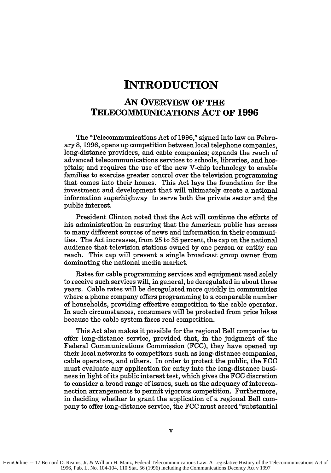## **INTRODUCTION**

## **AN OVERVIEW OF THE TELECOMMUNICATIONS ACT OF 1996**

The "Telecommunications Act of **1996,"** signed into law on February **8, 1996,** opens up competition between local telephone companies, long-distance providers, and cable companies; expands the reach of advanced telecommunications services to schools, libraries, and hospitals; and requires the use of the new V-chip technology to enable families to exercise greater control over the television programming that comes into their homes. This Act lays the foundation for the investment and development that will ultimately create a national information superhighway to serve both the private sector and the public interest.

President Clinton noted that the Act will continue the efforts of his administration in ensuring that the American public has access to many different sources of news and information in their communities. The Act increases, from **25** to **35** percent, the cap on the national audience that television stations owned **by** one person or entity can reach. This cap will prevent a single broadcast group owner from dominating the national media market.

Rates for cable programming services and equipment used solely to receive such services will, in general, be deregulated in about three years. Cable rates will be deregulated more quickly in communities where a phone company offers programming to a comparable number of households, providing effective competition to the cable operator. In such circumstances, consumers will be protected from price hikes because the cable system faces real competition.

This Act also makes it possible for the regional Bell companies to offer long-distance service, provided that, in the judgment of the Federal Communications Commission **(FCC),** they have opened up their local networks to competitors such as long-distance companies, cable operators, and others. In order to protect the public, the **FCC** must evaluate any application for entry into the long-distance business in light of its public interest test, which gives the **FCC** discretion to consider a broad range of issues, such as the adequacy of interconnection arrangements to permit vigorous competition. Furthermore, in deciding whether to grant the application of a regional Bell company to offer long-distance service, the **FCC** must accord "substantial